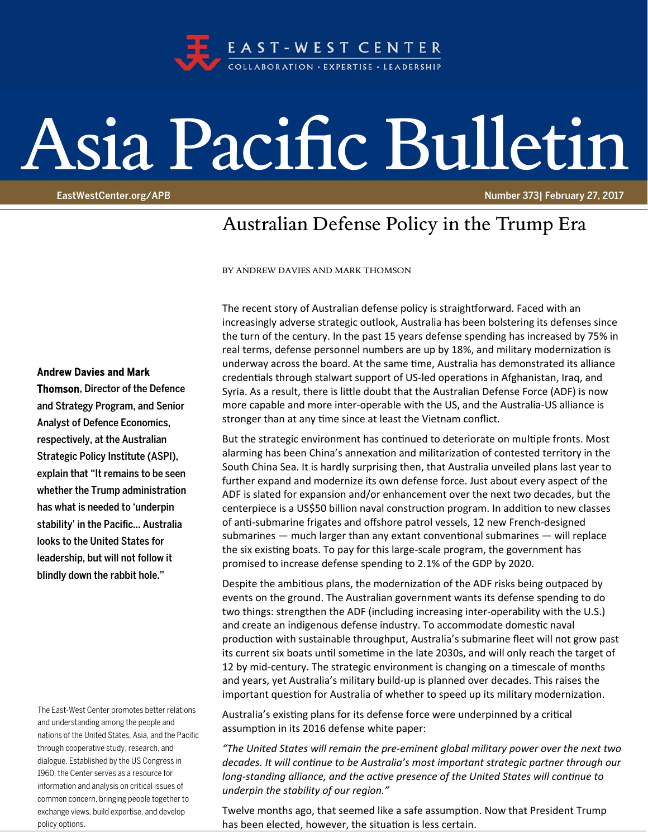

## Asia Pacific Bulletin

EastWestCenter.org/APB Number 373| February 27, 2017

## Australian Defense Policy in the Trump Era

BY ANDREW DAVIES AND MARK THOMSON

The recent story of Australian defense policy is straightforward. Faced with an increasingly adverse strategic outlook, Australia has been bolstering its defenses since the turn of the century. In the past 15 years defense spending has increased by 75% in real terms, defense personnel numbers are up by 18%, and military modernization is underway across the board. At the same time, Australia has demonstrated its alliance credentials through stalwart support of US-led operations in Afghanistan, Iraq, and Syria. As a result, there is little doubt that the Australian Defense Force (ADF) is now more capable and more inter-operable with the US, and the Australia-US alliance is stronger than at any time since at least the Vietnam conflict.

But the strategic environment has continued to deteriorate on multiple fronts. Most alarming has been China's annexation and militarization of contested territory in the South China Sea. It is hardly surprising then, that Australia unveiled plans last year to further expand and modernize its own defense force. Just about every aspect of the ADF is slated for expansion and/or enhancement over the next two decades, but the centerpiece is a US\$50 billion naval construction program. In addition to new classes of anti-submarine frigates and offshore patrol vessels, 12 new French-designed submarines  $-$  much larger than any extant conventional submarines  $-$  will replace the six existing boats. To pay for this large-scale program, the government has promised to increase defense spending to 2.1% of the GDP by 2020.

Despite the ambitious plans, the modernization of the ADF risks being outpaced by events on the ground. The Australian government wants its defense spending to do two things: strengthen the ADF (including increasing inter‐operability with the U.S.) and create an indigenous defense industry. To accommodate domestic naval production with sustainable throughput, Australia's submarine fleet will not grow past its current six boats until sometime in the late 2030s, and will only reach the target of 12 by mid-century. The strategic environment is changing on a timescale of months and years, yet Australia's military build‐up is planned over decades. This raises the important question for Australia of whether to speed up its military modernization.

Australia's existing plans for its defense force were underpinned by a critical assumption in its 2016 defense white paper:

*"The United States will remain the pre‐eminent global military power over the next two decades. It will conƟnue to be Australia's most important strategic partner through our long‐standing alliance, and the acƟve presence of the United States will conƟnue to underpin the stability of our region."*

Twelve months ago, that seemed like a safe assumption. Now that President Trump has been elected, however, the situation is less certain.

## Andrew Davies and Mark

Thomson, Director of the Defence and Strategy Program, and Senior Analyst of Defence Economics, respectively, at the Australian Strategic Policy Institute (ASPI), explain that "It remains to be seen whether the Trump administration has what is needed to 'underpin stability' in the Pacific… Australia looks to the United States for leadership, but will not follow it blindly down the rabbit hole."

The East-West Center promotes better relations and understanding among the people and nations of the United States, Asia, and the Pacific through cooperative study, research, and dialogue. Established by the US Congress in 1960, the Center serves as a resource for information and analysis on critical issues of common concern, bringing people together to exchange views, build expertise, and develop policy options.